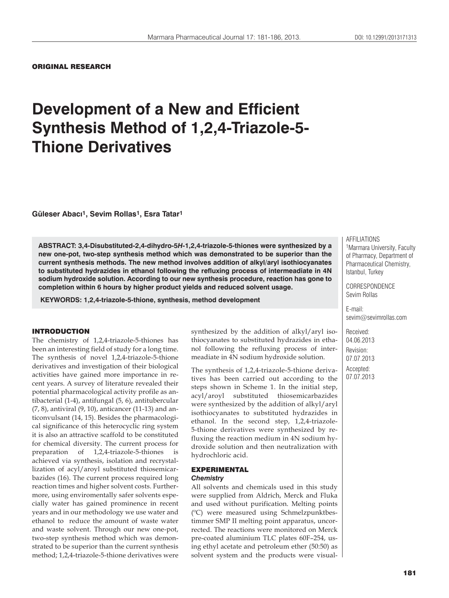ORIGINAL RESEARCH

# **Development of a New and Efficient Synthesis Method of 1,2,4-Triazole-5- Thione Derivatives**

**Güleser Abacı1, Sevim Rollas1, Esra Tatar1**

**ABSTRACT: 3,4-Disubstituted-2,4-dihydro-5***H***-1,2,4-triazole-5-thiones were synthesized by a new one-pot, two-step synthesis method which was demonstrated to be superior than the current synthesis methods. The new method involves addition of alkyl/aryl isothiocyanates to substituted hydrazides in ethanol following the refluxing process of intermeadiate in 4N sodium hydroxide solution. According to our new synthesis procedure, reaction has gone to completion within 6 hours by higher product yields and reduced solvent usage.**

 **KEYWORDS: 1,2,4-triazole-5-thione, synthesis, method development**

#### INTRODUCTION

The chemistry of 1,2,4-triazole-5-thiones has been an interesting field of study for a long time. The synthesis of novel 1,2,4-triazole-5-thione derivatives and investigation of their biological activities have gained more importance in recent years. A survey of literature revealed their potential pharmacological activity profile as antibacterial (1-4), antifungal (5, 6), antitubercular (7, 8), antiviral (9, 10), anticancer (11-13) and anticonvulsant (14, 15). Besides the pharmacological significance of this heterocyclic ring system it is also an attractive scaffold to be constituted for chemical diversity. The current process for preparation of  $1,2,4$ -triazole-5-thiones achieved via synthesis, isolation and recrystallization of acyl/aroyl substituted thiosemicarbazides (16). The current process required long reaction times and higher solvent costs. Furthermore, using enviromentally safer solvents especially water has gained prominence in recent years and in our methodology we use water and ethanol to reduce the amount of waste water and waste solvent. Through our new one-pot, two-step synthesis method which was demonstrated to be superior than the current synthesis method; 1,2,4-triazole-5-thione derivatives were synthesized by the addition of alkyl/aryl isothiocyanates to substituted hydrazides in ethanol following the refluxing process of intermeadiate in 4N sodium hydroxide solution.

The synthesis of 1,2,4-triazole-5-thione derivatives has been carried out according to the steps shown in Scheme 1. In the initial step, acyl/aroyl substituted thiosemicarbazides were synthesized by the addition of alkyl/aryl isothiocyanates to substituted hydrazides in ethanol. In the second step, 1,2,4-triazole-5-thione derivatives were synthesized by refluxing the reaction medium in 4N sodium hydroxide solution and then neutralization with hydrochloric acid.

#### EXPERIMENTAL *Chemistry*

All solvents and chemicals used in this study were supplied from Aldrich, Merck and Fluka and used without purification. Melting points (ºC) were measured using Schmelzpunktbestimmer SMP II melting point apparatus, uncorrected. The reactions were monitored on Merck pre-coated aluminium TLC plates 60F–254, using ethyl acetate and petroleum ether (50:50) as solvent system and the products were visualAFFILIATIONS

1Marmara University, Faculty of Pharmacy, Department of Pharmaceutical Chemistry, Istanbul, Turkey

CORRESPONDENCE Sevim Rollas

E-mail: sevim@sevimrollas.com

Received: 04.06.2013 Revision: 07.07.2013 Accepted: 07.07.2013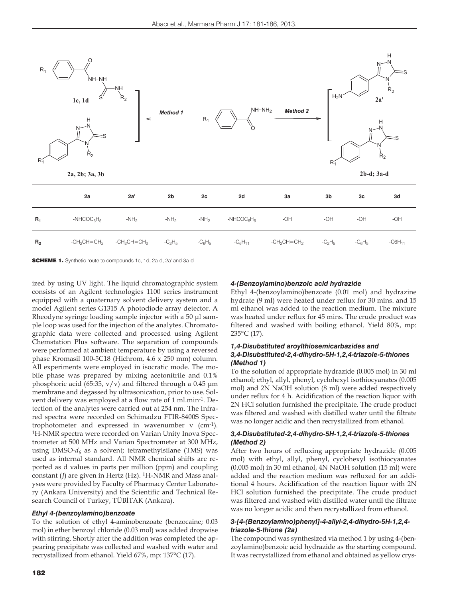

SCHEME 1. Synthetic route to compounds 1c, 1d, 2a-d, 2a' and 3a-d

ized by using UV light. The liquid chromatographic system consists of an Agilent technologies 1100 series instrument equipped with a quaternary solvent delivery system and a model Agilent series G1315 A photodiode array detector. A Rheodyne syringe loading sample injector with a 50 μl sample loop was used for the injection of the analytes. Chromatographic data were collected and processed using Agilent Chemstation Plus software. The separation of compounds were performed at ambient temperature by using a reversed phase Kromasil 100-5C18 (Hichrom, 4.6 x 250 mm) column. All experiments were employed in isocratic mode. The mobile phase was prepared by mixing acetonitrile and 0.1% phosphoric acid (65:35,  $v/v$ ) and filtered through a 0.45  $\mu$ m membrane and degassed by ultrasonication, prior to use. Solvent delivery was employed at a flow rate of 1 ml.min-1. Detection of the analytes were carried out at 254 nm. The Infrared spectra were recorded on Schimadzu FTIR-8400S Spectrophotometer and expressed in wavenumber ν (cm-1). 1H-NMR spectra were recorded on Varian Unity Inova Spectrometer at 500 MHz and Varian Spectrometer at 300 MHz, using DMSO- $d_6$  as a solvent; tetramethylsilane (TMS) was used as internal standard. All NMR chemical shifts are reported as d values in parts per million (ppm) and coupling constant (*J*) are given in Hertz (Hz). <sup>1</sup>H-NMR and Mass analyses were provided by Faculty of Pharmacy Center Laboratory (Ankara University) and the Scientific and Technical Research Council of Turkey, TÜBİTAK (Ankara).

#### *Ethyl 4-(benzoylamino)benzoate*

To the solution of ethyl 4-aminobenzoate (benzocaine; 0.03 mol) in ether benzoyl chloride (0.03 mol) was added dropwise with stirring. Shortly after the addition was completed the appearing precipitate was collected and washed with water and recrystallized from ethanol. Yield 67%, mp: 137°C (17).

### *4-(Benzoylamino)benzoic acid hydrazide*

Ethyl 4-(benzoylamino)benzoate (0.01 mol) and hydrazine hydrate (9 ml) were heated under reflux for 30 mins. and 15 ml ethanol was added to the reaction medium. The mixture was heated under reflux for 45 mins. The crude product was filtered and washed with boiling ethanol. Yield 80%, mp: 235°C (17).

#### *1,4-Disubstituted aroylthiosemicarbazides and 3,4-Disubstituted-2,4-dihydro-5H-1,2,4-triazole-5-thiones (Method 1)*

To the solution of appropriate hydrazide (0.005 mol) in 30 ml ethanol; ethyl, allyl, phenyl, cyclohexyl isothiocyanates (0.005 mol) and 2N NaOH solution (8 ml) were added respectively under reflux for 4 h. Acidification of the reaction liquor with 2N HCl solution furnished the precipitate. The crude product was filtered and washed with distilled water until the filtrate was no longer acidic and then recrystallized from ethanol.

#### *3,4-Disubstituted-2,4-dihydro-5H-1,2,4-triazole-5-thiones (Method 2)*

After two hours of refluxing appropriate hydrazide (0.005 mol) with ethyl, allyl, phenyl, cyclohexyl isothiocyanates (0.005 mol) in 30 ml ethanol, 4N NaOH solution (15 ml) were added and the reaction medium was refluxed for an additional 4 hours. Acidification of the reaction liquor with 2N HCl solution furnished the precipitate. The crude product was filtered and washed with distilled water until the filtrate was no longer acidic and then recrystallized from ethanol.

## *3-[4-(Benzoylamino)phenyl]-4-allyl-2,4-dihydro-5H-1,2,4 triazole-5-thione (2a)*

The compound was synthesized via method 1 by using 4-(benzoylamino)benzoic acid hydrazide as the starting compound. It was recrystallized from ethanol and obtained as yellow crys-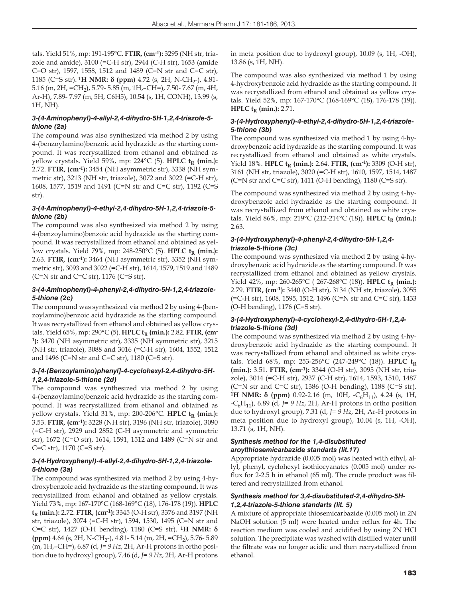tals. Yield 51%, mp: 191-195°C. **FTIR, (cm-1):** 3295 (NH str, triazole and amide), 3100 (=C-H str), 2944 (C-H str), 1653 (amide C=O str), 1597, 1558, 1512 and 1489 (C=N str and C=C str), 1185 (C=S str). <sup>1</sup>H NMR: δ (ppm) 4.72 (s, 2H, N-CH<sub>2</sub>-), 4.81-5.16 (m, 2H, =CH2), 5.79- 5.85 (m, 1H,–CH=), 7.50- 7.67 (m, 4H, Ar-H), 7.89- 7.97 (m, 5H, C6H5), 10.54 (s, 1H, CONH), 13.99 (s, 1H, NH).

# *3-(4-Aminophenyl)-4-allyl-2,4-dihydro-5H-1,2,4-triazole-5 thione (2a)*

The compound was also synthesized via method 2 by using 4-(benzoylamino)benzoic acid hydrazide as the starting compound. It was recrystallized from ethanol and obtained as yellow crystals. Yield 59%, mp:  $224^{\circ}C$  (5). **HPLC t<sub>R</sub>** (min.): 2.72. **FTIR, (cm-1):** 3454 (NH asymmetric str), 3338 (NH symmetric str), 3213 (NH str, triazole), 3072 and 3022 (=C-H str), 1608, 1577, 1519 and 1491 (C=N str and C=C str), 1192 (C=S str).

## *3-(4-Aminophenyl)-4-ethyl-2,4-dihydro-5H-1,2,4-triazole-5 thione (2b)*

The compound was also synthesized via method 2 by using 4-(benzoylamino)benzoic acid hydrazide as the starting compound. It was recrystallized from ethanol and obtained as yellow crystals. Yield 79%, mp: 248-250°C (5). **HPLC t<sub>R</sub>** (min.): 2.63. **FTIR, (cm-1):** 3464 (NH asymmetric str), 3352 (NH symmetric str), 3093 and 3022 (=C-H str), 1614, 1579, 1519 and 1489  $(C=N \text{ str} \text{ and } C=C \text{ str}$ ), 1176  $(C=S \text{ str})$ .

# *3-(4-Aminophenyl)-4-phenyl-2,4-dihydro-5H-1,2,4-triazole-5-thione (2c)*

The compound was synthesized via method 2 by using 4-(benzoylamino)benzoic acid hydrazide as the starting compound. It was recrystallized from ethanol and obtained as yellow crystals. Yield 65%, mp: 290°C (5). **HPLC t<sub>R</sub> (min.): 2.82. FTIR, (cm-1):** 3470 (NH asymmetric str), 3335 (NH symmetric str), 3215 (NH str, triazole), 3088 and 3016 (=C-H str), 1604, 1552, 1512 and 1496 (C=N str and C=C str), 1180 (C=S str).

# *3-[4-(Benzoylamino)phenyl]-4-cyclohexyl-2,4-dihydro-5H-1,2,4-triazole-5-thione (2d)*

The compound was synthesized via method 2 by using 4-(benzoylamino)benzoic acid hydrazide as the starting compound. It was recrystallized from ethanol and obtained as yellow crystals. Yield 31%, mp: 200-206°C. **HPLC t<sub>R</sub>** (min.): 3.53. **FTIR, (cm-1):** 3228 (NH str), 3196 (NH str, triazole), 3090 (=C-H str), 2929 and 2852 (C-H asymmetric and symmetric str), 1672 (C=O str), 1614, 1591, 1512 and 1489 (C=N str and C=C str), 1170 (C=S str).

# *3-(4-Hydroxyphenyl)-4-allyl-2,4-dihydro-5H-1,2,4-triazole-5-thione (3a)*

The compound was synthesized via method 2 by using 4-hydroxybenzoic acid hydrazide as the starting compound. It was recrystallized from ethanol and obtained as yellow crystals. Yield 73%, mp: 167-170°C (168-169°C (18), 176-178 (19)). **HPLC t<sub>R</sub>** (min.): 2.72. **FTIR**, (cm<sup>-1</sup>): 3345 (O-H str), 3376 and 3197 (NH str, triazole), 3074 (=C-H str), 1594, 1530, 1495 (C=N str and C=C str), 1427 (O-H bending), 1180 (C=S str). **1H NMR: δ** (ppm)  $4.64$  (s,  $2H$ , N-CH<sub>2</sub>-),  $4.81-5.14$  (m,  $2H$ , =CH<sub>2</sub>), 5.76-5.89 (m, 1H,–CH=), 6.87 (d, *J= 9 Hz*, 2H, Ar-H protons in ortho position due to hydroxyl group), 7.46 (d, *J= 9 Hz*, 2H, Ar-H protons in meta position due to hydroxyl group), 10.09 (s, 1H, -OH), 13.86 (s, 1H, NH).

The compound was also synthesized via method 1 by using 4-hydroxybenzoic acid hydrazide as the starting compound. It was recrystallized from ethanol and obtained as yellow crystals. Yield 52%, mp: 167-170°C (168-169°C (18), 176-178 (19)). **HPLC**  $t_R$  (min.): 2.71.

# *3-(4-Hydroxyphenyl)-4-ethyl-2,4-dihydro-5H-1,2,4-triazole-5-thione (3b)*

The compound was synthesized via method 1 by using 4-hydroxybenzoic acid hydrazide as the starting compound. It was recrystallized from ethanol and obtained as white crystals. Yield 18%. **HPLC t<sub>R</sub>** (min.): 2.64. **FTIR**, (cm<sup>-1</sup>): 3309 (O-H str), 3161 (NH str, triazole), 3020 (=C-H str), 1610, 1597, 1514, 1487 (C=N str and C=C str), 1411 (O-H bending), 1180 (C=S str).

The compound was synthesized via method 2 by using 4-hydroxybenzoic acid hydrazide as the starting compound. It was recrystallized from ethanol and obtained as white crystals. Yield 86%, mp: 219°C (212-214°C (18)). **HPLC**  $t_R$  **(min.):** 2.63.

## *3-(4-Hydroxyphenyl)-4-phenyl-2,4-dihydro-5H-1,2,4 triazole-5-thione (3c)*

The compound was synthesized via method 2 by using 4-hydroxybenzoic acid hydrazide as the starting compound. It was recrystallized from ethanol and obtained as yellow crystals. Yield 42%, mp: 260-265°C ( 267-268°C (18)). **HPLC t<sub>R</sub>** (min.): 2.79. **FTIR, (cm-1):** 3440 (O-H str), 3134 (NH str, triazole), 3055 (=C-H str), 1608, 1595, 1512, 1496 (C=N str and C=C str), 1433 (O-H bending), 1176 (C=S str).

# *3-(4-Hydroxyphenyl)-4-cyclohexyl-2,4-dihydro-5H-1,2,4 triazole-5-thione (3d)*

The compound was synthesized via method 2 by using 4-hydroxybenzoic acid hydrazide as the starting compound. It was recrystallized from ethanol and obtained as white crystals. Yield 68%, mp: 253-256°C (247-249°C (18)). **HPLC tR (min.):** 3.51. **FTIR, (cm-1):** 3344 (O-H str), 3095 (NH str, triazole), 3014 (=C-H str), 2937 (C-H str), 1614, 1593, 1510, 1487 (C=N str and C=C str), 1386 (O-H bending), 1188 (C=S str). **1H NMR: δ (ppm)** 0.92-2.16 (m, 10H, -C<sub>6</sub>H<sub>11</sub>), 4.24 (s, 1H,  $-C_6H_{11}$ , 6.89 (d, *J*= 9 Hz, 2H, Ar-H protons in ortho position due to hydroxyl group), 7.31 (d, *J= 9 Hz*, 2H, Ar-H protons in meta position due to hydroxyl group), 10.04 (s, 1H, -OH), 13.71 (s, 1H, NH).

# *Synthesis method for the 1,4-disubstituted aroylthiosemicarbazide standarts (lit.17)*

Appropriate hydrazide (0.005 mol) was heated with ethyl, allyl, phenyl, cyclohexyl isothiocyanates (0.005 mol) under reflux for 2-2.5 h in ethanol (65 ml). The crude product was filtered and recrystallized from ethanol.

## *Synthesis method for 3,4-disubstituted-2,4-dihydro-5H-1,2,4-triazole-5-thione standarts (lit. 5)*

A mixture of appropriate thiosemicarbazide (0.005 mol) in 2N NaOH solution (5 ml) were heated under reflux for 4h. The reaction medium was cooled and acidified by using 2N HCl solution. The precipitate was washed with distilled water until the filtrate was no longer acidic and then recrystallized from ethanol.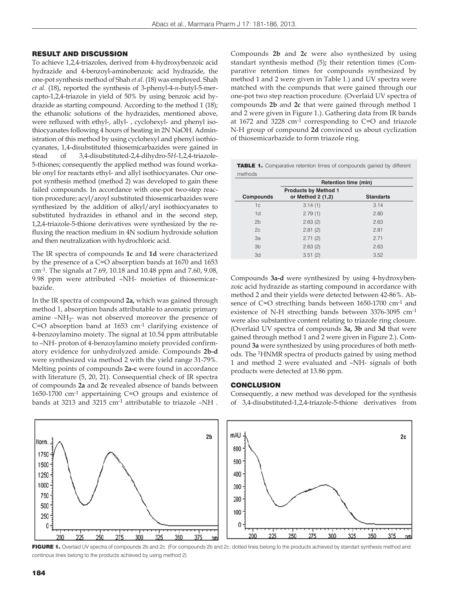#### RESULT AND DISCUSSION

To achieve 1,2,4-triazoles, derived from 4-hydroxybenzoic acid hydrazide and 4-benzoyl-aminobenzoic acid hydrazide, the one-pot synthesis method of Shah *et al*. (18) was employed. Shah *et al.* (18), reported the synthesis of 3-phenyl-4-*n*-butyl-5-mercapto-1,2,4-triazole in yield of 50% by using benzoic acid hydrazide as starting compound. According to the method 1 (18); the ethanolic solutions of the hydrazides, mentioned above, were refluxed with ethyl-, allyl- , cyclohexyl- and phenyl isothiocyanates following 4 hours of heating in 2N NaOH. Administration of this method by using cyclohexyl and phenyl isothiocyanates, 1,4-disubstituted thiosemicarbazides were gained in stead of 3,4-disubstituted-2,4-dihydro-5*H*-1,2,4-triazole-5-thiones; consequently the applied method was found workable onyl for reactants ethyl- and allyl isothiocyanates. Our onepot synthesis method (method 2) was developed to gain these failed compounds. In accordance with one-pot two-step reaction procedure; acyl/aroyl substituted thiosemicarbazides were synthesized by the addition of alkyl/aryl isothiocyanates to substituted hydrazides in ethanol and in the second step, 1,2,4-triazole-5-thione derivatives were synthesized by the refluxing the reaction medium in 4N sodium hydroxide solution and then neutralization with hydrochloric acid.

The IR spectra of compounds **1c** and **1d** were characterized by the presence of a C=O absorption bands at 1670 and 1653 cm-1. The signals at 7.69, 10.18 and 10.48 ppm and 7.60, 9.08, 9.98 ppm were attributed –NH- moieties of thiosemicarbazide.

In the IR spectra of compound **2a,** which was gained through method 1, absorption bands attributable to aromatic primary amine  $-NH_{2}$ - was not observed moreover the presence of C=O absorption band at 1653 cm-1 clarifying existence of 4-benzoylamino moiety. The signal at 10.54 ppm attributable to –NH- proton of 4-benzoylamino moiety provided confirmatory evidence for unhydrolyzed amide. Compounds **2b-d** were synthesized via method 2 with the yield range 31-79%. Melting points of compounds **2a-c** were found in accordance with literature (5, 20, 21). Consequential check of IR spectra of compounds **2a** and **2c** revealed absence of bands between 1650-1700 cm-1 appertaining C=O groups and existence of bands at 3213 and 3215 cm-1 attributable to triazole –NH .

Compounds **2b** and **2c** were also synthesized by using standart synthesis method (5)**;** their retention times (Comparative retention times for compounds synthesized by method 1 and 2 were given in Table 1.) and UV spectra were matched with the compunds that were gained through our one-pot two step reaction procedure. (Overlaid UV spectra of compounds **2b** and **2c** that were gained through method 1 and 2 were given in Figure 1.). Gathering data from IR bands at 1672 and 3228 cm-1 corresponding to C=O and triazole N-H group of compound **2d** convinced us about cyclization of thiosemicarbazide to form triazole ring.

| <b>TABLE 1.</b> Comparative retention times of compounds gained by different<br>methods |                                                  |                  |
|-----------------------------------------------------------------------------------------|--------------------------------------------------|------------------|
|                                                                                         | <b>Retention time (min)</b>                      |                  |
| Compounds                                                                               | <b>Products by Method 1</b><br>or Method 2 (1,2) | <b>Standarts</b> |
| 1c                                                                                      | 3.14(1)                                          | 3.14             |
| 1d                                                                                      | 2.79(1)                                          | 2.80             |
| 2 <sub>b</sub>                                                                          | 2.63(2)                                          | 2.63             |
| 2c                                                                                      | 2.81(2)                                          | 2.81             |
| За                                                                                      | 2.71(2)                                          | 2.71             |
| 3 <sub>b</sub>                                                                          | 2.63(2)                                          | 2.63             |
| 3d                                                                                      | 3.51(2)                                          | 3.52             |

Compounds **3a-d** were synthesized by using 4-hydroxybenzoic acid hydrazide as starting compound in accordance with method 2 and their yields were detected between 42-86%. Absence of C=O strecthing bands between 1650-1700 cm-1 and existence of N-H strecthing bands between 3376-3095 cm-1 were also substantive content relating to triazole ring closure. (Overlaid UV spectra of compounds **3a, 3b** and **3d** that were gained through method 1 and 2 were given in Figure 2.). Compound **3a** were synthesized by using procedures of both methods. The 1HNMR spectra of products gained by using method 1 and method 2 were evaluated and –NH- signals of both products were detected at 13.86 ppm.

#### **CONCLUSION**

Consequently, a new method was developed for the synthesis of 3,4-disubstituted-1,2,4-triazole-5-thione derivatives from



FIGURE 1. Overlaid UV spectra of compounds 2b and 2c. (For compounds 2b and 2c; dotted lines belong to the products achieved by standart synthesis method and continous lines belong to the products achieved by using method 2)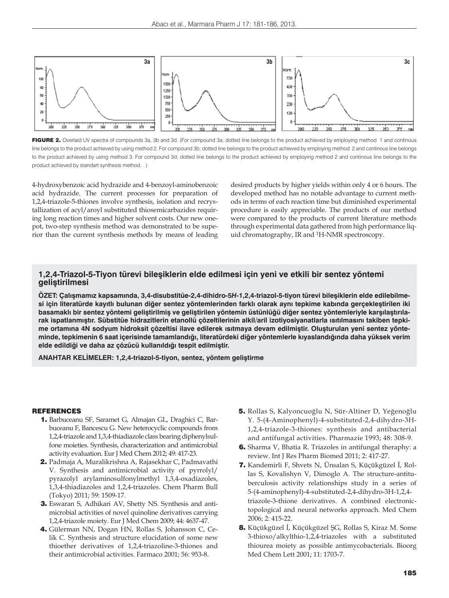

FIGURE 2. Overlaid UV spectra of compounds 3a, 3b and 3d. (For compound 3a; dotted line belongs to the product achieved by employing method 1 and continous line belongs to the product achieved by using method 2. For compound 3b; dotted line belongs to the product achieved by employing method 2 and continous line belongs to the product achieved by using method 3. For compound 3d; dotted line belongs to the product achieved by employing method 2 and continous line belongs to the product achieved by standart synthesis method. )

4-hydroxybenzoic acid hydrazide and 4-benzoyl-aminobenzoic acid hydrazide. The current processes for preparation of 1,2,4-triazole-5-thiones involve synthesis, isolation and recrystallization of acyl/aroyl substituted thiosemicarbazides requiring long reaction times and higher solvent costs. Our new onepot, two-step synthesis method was demonstrated to be superior than the current synthesis methods by means of leading

desired products by higher yields within only 4 or 6 hours. The developed method has no notable advantage to current methods in terms of each reaction time but diminished experimental procedure is easily appreciable. The products of our method were compared to the products of current literature methods through experimental data gathered from high performance liquid chromatography, IR and 1H-NMR spectroscopy.

# **1,2,4-Triazol-5-Tiyon türevi bileşiklerin elde edilmesi için yeni ve etkili bir sentez yöntemi geliştirilmesi**

**ÖZET: Çalışmamız kapsamında, 3,4-disubstitüe-2,4-dihidro-5***H***-1,2,4-triazol-5-tiyon türevi bileşiklerin elde edilebilmesi için literatürde kayıtlı bulunan diğer sentez yöntemlerinden farklı olarak aynı tepkime kabında gerçekleştirilen iki**  basamaklı bir sentez yöntemi geliştirilmiş ve geliştirilen yöntemin üstünlüğü diğer sentez yöntemleriyle karşılaştırıla**rak ispatlanmıştır. Sübstitüe hidrazitlerin etanollü çözeltilerinin alkil/aril izotiyosiyanatlarla ısıtılmasını takiben tepkime ortamına 4N sodyum hidroksit çözeltisi ilave edilerek ısıtmaya devam edilmiştir. Oluşturulan yeni sentez yönteminde, tepkimenin 6 saat içerisinde tamamlandığı, literatürdeki diğer yöntemlerle kıyaslandığında daha yüksek verim elde edildiği ve daha az çözücü kullanıldığı tespit edilmiştir.**

**ANAHTAR KELİMELER: 1,2,4-triazol-5-tiyon, sentez, yöntem geliştirme**

### REFERENCES

- 1. Barbuceanu SF, Saramet G, Almajan GL, Draghici C, Barbuceanu F, Bancescu G. New heterocyclic compounds from 1,2,4-triazole and 1,3,4-thiadiazole class bearing diphenylsulfone moieties. Synthesis, characterization and antimicrobial activity evaluation. Eur J Med Chem 2012; 49: 417-23.
- 2. Padmaja A, Muralikrishna A, Rajasekhar C, Padmavathi V. Synthesis and antimicrobial activity of pyrrolyl/ pyrazolyl arylaminosulfonylmethyl 1,3,4-oxadiazoles, 1,3,4-thiadiazoles and 1,2,4-triazoles. Chem Pharm Bull (Tokyo) 2011; 59: 1509-17.
- 3. Eswaran S, Adhikari AV, Shetty NS. Synthesis and antimicrobial activities of novel quinoline derivatives carrying 1,2,4-triazole moiety. Eur J Med Chem 2009; 44: 4637-47.
- 4. Gülerman NN, Dogan HN, Rollas S, Johansson C, Celik C. Synthesis and structure elucidation of some new thioether derivatives of 1,2,4-triazoline-3-thiones and their antimicrobial activities. Farmaco 2001; 56: 953-8.
- 5. Rollas S, Kalyoncuoğlu N, Sür-Altiner D, Yeğenoğlu Y. 5-(4-Aminophenyl)-4-substituted-2,4-dihydro-3H-1,2,4-triazole-3-thiones: synthesis and antibacterial and antifungal activities. Pharmazie 1993; 48: 308-9.
- 6. Sharma V, Bhatia R. Triazoles in antifungal theraphy: a review. Int J Res Pharm Biomed 2011; 2: 417-27.
- 7. Kandemirli F, Shvets N, Ünsalan S, Küçükgüzel İ, Rollas S, Kovalishyn V, Dimoglo A. The structure-antituberculosis activity relationships study in a series of 5-(4-aminophenyl)-4-substituted-2,4-dihydro-3H-1,2,4 triazole-3-thione derivatives. A combined electronictopological and neural networks approach. Med Chem 2006; 2: 415-22.
- 8. Küçükgüzel İ, Küçükgüzel ŞG, Rollas S, Kiraz M. Some 3-thioxo/alkylthio-1,2,4-triazoles with a substituted thiourea moiety as possible antimycobacterials. Bioorg Med Chem Lett 2001; 11: 1703-7.